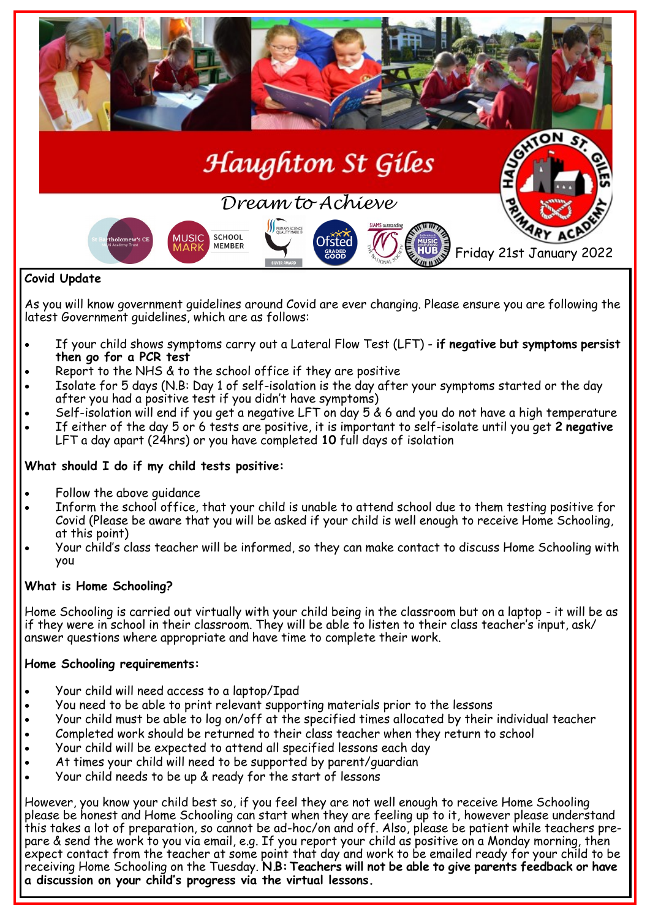

# As you will know government guidelines around Covid are ever changing. Please ensure you are following the latest Government quidelines, which are as follows:

- If your child shows symptoms carry out a Lateral Flow Test (LFT) **if negative but symptoms persist then go for a PCR test**
- Report to the NHS & to the school office if they are positive
- Isolate for 5 days (N.B: Day 1 of self-isolation is the day after your symptoms started or the day after you had a positive test if you didn't have symptoms)
- Self-isolation will end if you get a negative LFT on day 5 & 6 and you do not have a high temperature If either of the day 5 or 6 tests are positive, it is important to self-isolate until you get **2 negative**  LFT a day apart (24hrs) or you have completed **10** full days of isolation

# **What should I do if my child tests positive:**

- Follow the above guidance
- Inform the school office, that your child is unable to attend school due to them testing positive for Covid (Please be aware that you will be asked if your child is well enough to receive Home Schooling, at this point)
- Your child's class teacher will be informed, so they can make contact to discuss Home Schooling with you

# **What is Home Schooling?**

Home Schooling is carried out virtually with your child being in the classroom but on a laptop - it will be as if they were in school in their classroom. They will be able to listen to their class teacher's input, ask/ answer questions where appropriate and have time to complete their work.

# **Home Schooling requirements:**

- Your child will need access to a laptop/Ipad
- You need to be able to print relevant supporting materials prior to the lessons
- Your child must be able to log on/off at the specified times allocated by their individual teacher
- Completed work should be returned to their class teacher when they return to school
- Your child will be expected to attend all specified lessons each day
- At times your child will need to be supported by parent/guardian
- Your child needs to be up & ready for the start of lessons

However, you know your child best so, if you feel they are not well enough to receive Home Schooling please be honest and Home Schooling can start when they are feeling up to it, however please understand this takes a lot of preparation, so cannot be ad-hoc/on and off. Also, please be patient while teachers prepare & send the work to you via email, e.g. If you report your child as positive on a Monday morning, then expect contact from the teacher at some point that day and work to be emailed ready for your child to be receiving Home Schooling on the Tuesday. **N.B: Teachers will not be able to give parents feedback or have a discussion on your child's progress via the virtual lessons.**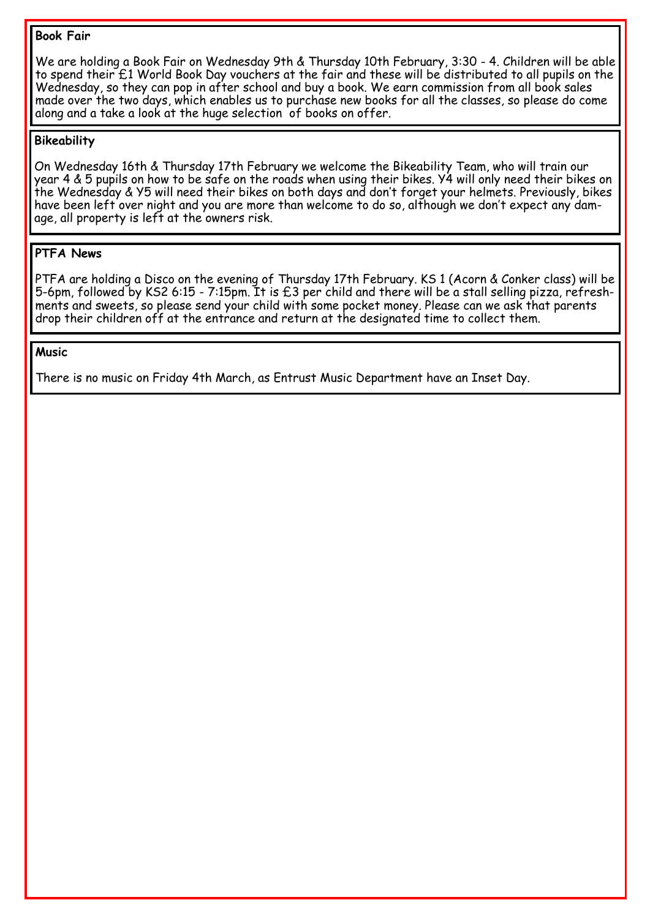#### **Book Fair**

We are holding a Book Fair on Wednesday 9th & Thursday 10th February, 3:30 - 4. Children will be able to spend their £1 World Book Day vouchers at the fair and these will be distributed to all pupils on the Wednesday, so they can pop in after school and buy a book. We earn commission from all book sales made over the two days, which enables us to purchase new books for all the classes, so please do come along and a take a look at the huge selection of books on offer.

### **Bikeability**

On Wednesday 16th & Thursday 17th February we welcome the Bikeability Team, who will train our year 4 & 5 pupils on how to be safe on the roads when using their bikes. Y4 will only need their bikes on the Wednesday & Y5 will need their bikes on both days and don't forget your helmets. Previously, bikes have been left over night and you are more than welcome to do so, although we don't expect any damage, all property is left at the owners risk.

### **PTFA News**

PTFA are holding a Disco on the evening of Thursday 17th February. KS 1 (Acorn & Conker class) will be 5-6pm, followed by KS2 6:15 - 7:15pm. It is £3 per child and there will be a stall selling pizza, refreshments and sweets, so please send your child with some pocket money. Please can we ask that parents drop their children off at the entrance and return at the designated time to collect them.

#### **Music**

There is no music on Friday 4th March, as Entrust Music Department have an Inset Day.